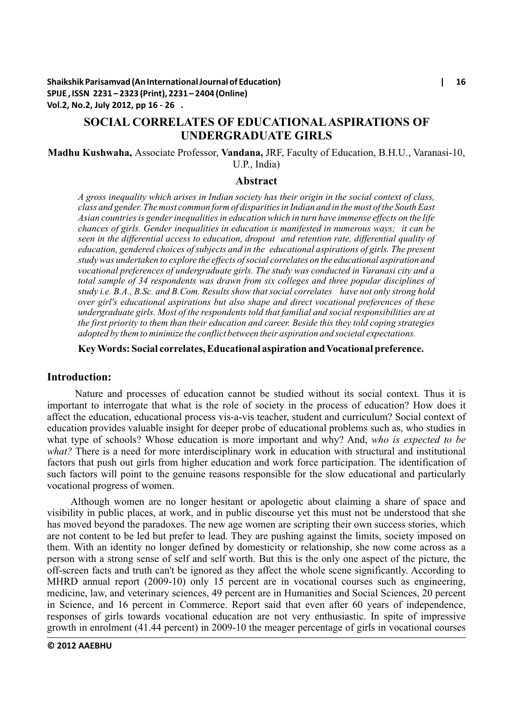**Shaikshik Parisamvad (An International Journal of Education) | 16 SPIJE , ISSN 2231 – 2323 (Print), 2231 – 2404 (Online) Vol.2, No.2, July 2012, pp 16 - 26 .**

# **SOCIAL CORRELATES OF EDUCATIONALASPIRATIONS OF UNDERGRADUATE GIRLS**

**Madhu Kushwaha,** Associate Professor, **Vandana,** JRF, Faculty of Education, B.H.U., Varanasi-10, U.P., India)

#### **Abstract**

*A gross inequality which arises in Indian society has their origin in the social context of class, class and gender. The most common form of disparities in Indian and in the most of the South East Asian countries is gender inequalities in education which in turn have immense effects on the life chances of girls. Gender inequalities in education is manifested in numerous ways; it can be seen in the differential access to education, dropout and retention rate, differential quality of education, gendered choices of subjects and in the educational aspirations of girls. The present study was undertaken to explore the effects of social correlates on the educational aspiration and vocational preferences of undergraduate girls. The study was conducted in Varanasi city and a total sample of 34 respondents was drawn from six colleges and three popular disciplines of study i.e. B.A., B.Sc. and B.Com. Results show that social correlates have not only strong hold over girl's educational aspirations but also shape and direct vocational preferences of these undergraduate girls. Most of the respondents told that familial and social responsibilities are at the first priority to them than their education and career. Beside this they told coping strategies adopted by them to minimize the conflict between their aspiration and societal expectations.*

## **Key Words: Social correlates, Educational aspiration and Vocational preference.**

# **Introduction:**

Nature and processes of education cannot be studied without its social context. Thus it is important to interrogate that what is the role of society in the process of education? How does it affect the education, educational process vis-a-vis teacher, student and curriculum? Social context of education provides valuable insight for deeper probe of educational problems such as, who studies in what type of schools? Whose education is more important and why? And, *who is expected to be what?* There is a need for more interdisciplinary work in education with structural and institutional factors that push out girls from higher education and work force participation. The identification of such factors will point to the genuine reasons responsible for the slow educational and particularly vocational progress of women.

Although women are no longer hesitant or apologetic about claiming a share of space and visibility in public places, at work, and in public discourse yet this must not be understood that she has moved beyond the paradoxes. The new age women are scripting their own success stories, which are not content to be led but prefer to lead. They are pushing against the limits, society imposed on them. With an identity no longer defined by domesticity or relationship, she now come across as a person with a strong sense of self and self worth. But this is the only one aspect of the picture, the off-screen facts and truth can't be ignored as they affect the whole scene significantly. According to MHRD annual report (2009-10) only 15 percent are in vocational courses such as engineering, medicine, law, and veterinary sciences, 49 percent are in Humanities and Social Sciences, 20 percent in Science, and 16 percent in Commerce. Report said that even after 60 years of independence, responses of girls towards vocational education are not very enthusiastic. In spite of impressive growth in enrolment (41.44 percent) in 2009-10 the meager percentage of girls in vocational courses

### **© 2012 AAEBHU**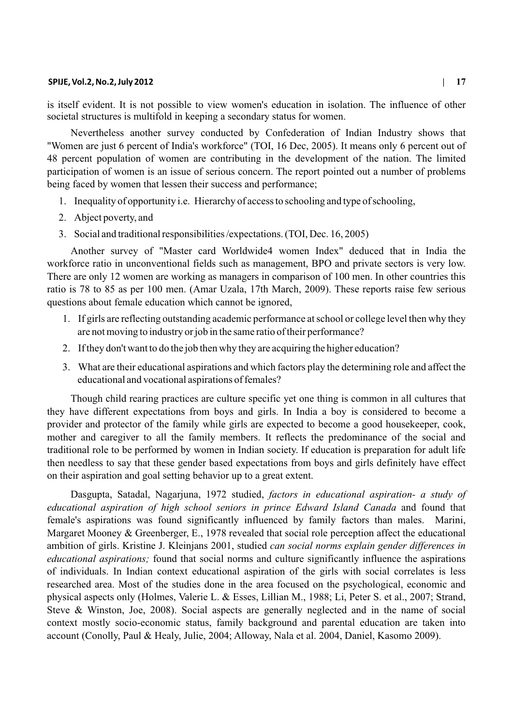is itself evident. It is not possible to view women's education in isolation. The influence of other societal structures is multifold in keeping a secondary status for women.

Nevertheless another survey conducted by Confederation of Indian Industry shows that "Women are just 6 percent of India's workforce" (TOI, 16 Dec, 2005). It means only 6 percent out of 48 percent population of women are contributing in the development of the nation. The limited participation of women is an issue of serious concern. The report pointed out a number of problems being faced by women that lessen their success and performance;

- 1. Inequality of opportunity i.e. Hierarchy of access to schooling and type of schooling,
- 2. Abject poverty, and
- 3. Social and traditional responsibilities /expectations. (TOI, Dec. 16, 2005)

Another survey of "Master card Worldwide4 women Index" deduced that in India the workforce ratio in unconventional fields such as management, BPO and private sectors is very low. There are only 12 women are working as managers in comparison of 100 men. In other countries this ratio is 78 to 85 as per 100 men. (Amar Uzala, 17th March, 2009). These reports raise few serious questions about female education which cannot be ignored,

- 1. If girls are reflecting outstanding academic performance at school or college level then why they are not moving to industry or job in the same ratio of their performance?
- 2. If they don't want to do the job then why they are acquiring the higher education?
- 3. What are their educational aspirations and which factors play the determining role and affect the educational and vocational aspirations of females?

Though child rearing practices are culture specific yet one thing is common in all cultures that they have different expectations from boys and girls. In India a boy is considered to become a provider and protector of the family while girls are expected to become a good housekeeper, cook, mother and caregiver to all the family members. It reflects the predominance of the social and traditional role to be performed by women in Indian society. If education is preparation for adult life then needless to say that these gender based expectations from boys and girls definitely have effect on their aspiration and goal setting behavior up to a great extent.

Dasgupta, Satadal, Nagarjuna, 1972 studied, *factors in educational aspiration- a study of educational aspiration of high school seniors in prince Edward Island Canada* and found that female's aspirations was found significantly influenced by family factors than males. Marini, Margaret Mooney & Greenberger, E., 1978 revealed that social role perception affect the educational ambition of girls. Kristine J. Kleinjans 2001, studied *can social norms explain gender differences in educational aspirations;* found that social norms and culture significantly influence the aspirations of individuals. In Indian context educational aspiration of the girls with social correlates is less researched area. Most of the studies done in the area focused on the psychological, economic and physical aspects only (Holmes, Valerie L. & Esses, Lillian M., 1988; Li, Peter S. et al., 2007; Strand, Steve & Winston, Joe, 2008). Social aspects are generally neglected and in the name of social context mostly socio-economic status, family background and parental education are taken into account (Conolly, Paul & Healy, Julie, 2004; Alloway, Nala et al. 2004, Daniel, Kasomo 2009).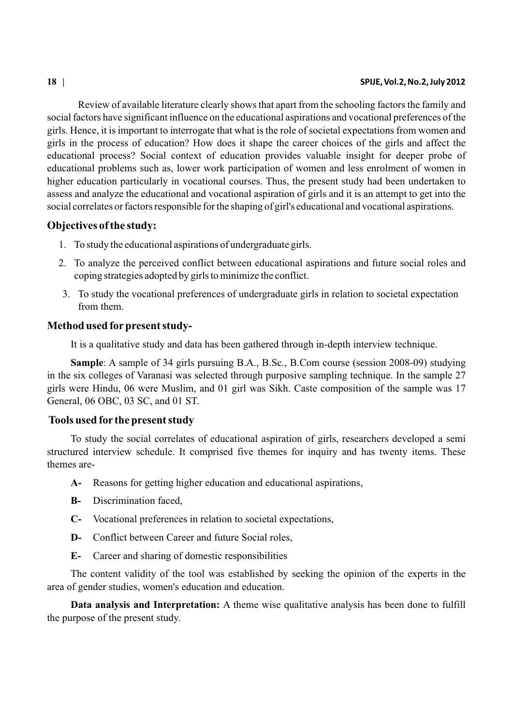Review of available literature clearly shows that apart from the schooling factors the family and social factors have significant influence on the educational aspirations and vocational preferences of the girls. Hence, it is important to interrogate that what is the role of societal expectations from women and girls in the process of education? How does it shape the career choices of the girls and affect the educational process? Social context of education provides valuable insight for deeper probe of educational problems such as, lower work participation of women and less enrolment of women in higher education particularly in vocational courses. Thus, the present study had been undertaken to assess and analyze the educational and vocational aspiration of girls and it is an attempt to get into the social correlates or factors responsible for the shaping of girl's educational and vocational aspirations.

# **Objectives of the study:**

- 1. To study the educational aspirations of undergraduate girls.
- 2. To analyze the perceived conflict between educational aspirations and future social roles and coping strategies adopted by girls to minimize the conflict.
- 3. To study the vocational preferences of undergraduate girls in relation to societal expectation from them.

# **Method used for present study-**

It is a qualitative study and data has been gathered through in-depth interview technique.

**Sample**: A sample of 34 girls pursuing B.A., B.Sc., B.Com course (session 2008-09) studying in the six colleges of Varanasi was selected through purposive sampling technique. In the sample 27 girls were Hindu, 06 were Muslim, and 01 girl was Sikh. Caste composition of the sample was 17 General, 06 OBC, 03 SC, and 01 ST.

# **Tools used for the present study**

To study the social correlates of educational aspiration of girls, researchers developed a semi structured interview schedule. It comprised five themes for inquiry and has twenty items. These themes are-

- **A-** Reasons for getting higher education and educational aspirations,
- **B-** Discrimination faced,
- **C-** Vocational preferences in relation to societal expectations,
- **D-** Conflict between Career and future Social roles,
- **E-** Career and sharing of domestic responsibilities

The content validity of the tool was established by seeking the opinion of the experts in the area of gender studies, women's education and education.

**Data analysis and Interpretation:** A theme wise qualitative analysis has been done to fulfill the purpose of the present study.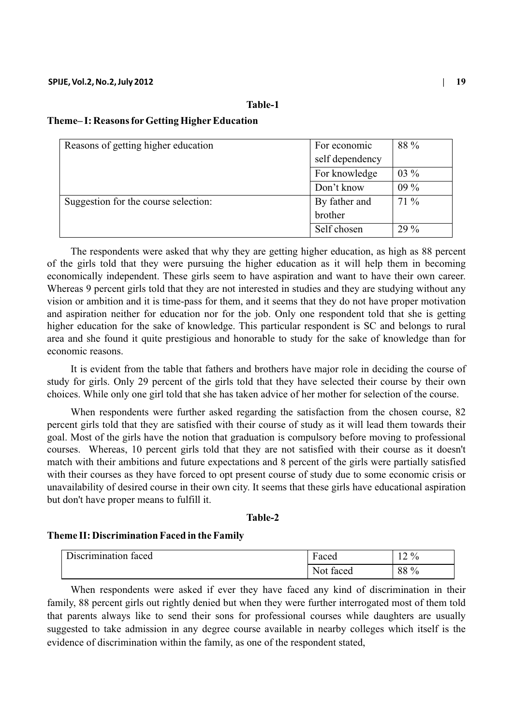# **Table-1**

# **Theme– I: Reasons forGetting HigherEducation**

| Reasons of getting higher education  | For economic    | 88 %   |
|--------------------------------------|-----------------|--------|
|                                      | self dependency |        |
|                                      | For knowledge   | $03\%$ |
|                                      | Don't know      | $09\%$ |
| Suggestion for the course selection: | By father and   | $71\%$ |
|                                      | brother         |        |
|                                      | Self chosen     | $29\%$ |

The respondents were asked that why they are getting higher education, as high as 88 percent of the girls told that they were pursuing the higher education as it will help them in becoming economically independent. These girls seem to have aspiration and want to have their own career. Whereas 9 percent girls told that they are not interested in studies and they are studying without any vision or ambition and it is time-pass for them, and it seems that they do not have proper motivation and aspiration neither for education nor for the job. Only one respondent told that she is getting higher education for the sake of knowledge. This particular respondent is SC and belongs to rural area and she found it quite prestigious and honorable to study for the sake of knowledge than for economic reasons.

It is evident from the table that fathers and brothers have major role in deciding the course of study for girls. Only 29 percent of the girls told that they have selected their course by their own choices. While only one girl told that she has taken advice of her mother for selection of the course.

When respondents were further asked regarding the satisfaction from the chosen course, 82 percent girls told that they are satisfied with their course of study as it will lead them towards their goal. Most of the girls have the notion that graduation is compulsory before moving to professional courses. Whereas, 10 percent girls told that they are not satisfied with their course as it doesn't match with their ambitions and future expectations and 8 percent of the girls were partially satisfied with their courses as they have forced to opt present course of study due to some economic crisis or unavailability of desired course in their own city. It seems that these girls have educational aspiration but don't have proper means to fulfill it.

# **Table-2**

### **Theme II: Discrimination Faced in the Family**

| n.                   | $\blacksquare$ | $2\%$ |
|----------------------|----------------|-------|
| Discrimination faced | Faced          | ∸     |
|                      | Not faced      | 88 %  |

When respondents were asked if ever they have faced any kind of discrimination in their family, 88 percent girls out rightly denied but when they were further interrogated most of them told that parents always like to send their sons for professional courses while daughters are usually suggested to take admission in any degree course available in nearby colleges which itself is the evidence of discrimination within the family, as one of the respondent stated,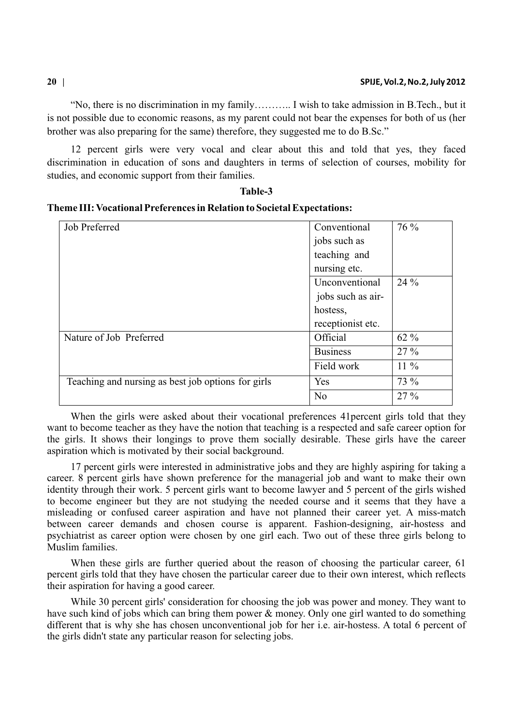"No, there is no discrimination in my family……….. I wish to take admission in B.Tech., but it is not possible due to economic reasons, as my parent could not bear the expenses for both of us (her brother was also preparing for the same) therefore, they suggested me to do B.Sc."

12 percent girls were very vocal and clear about this and told that yes, they faced discrimination in education of sons and daughters in terms of selection of courses, mobility for studies, and economic support from their families.

**Table-3**

| Job Preferred                                      | Conventional      | 76 %   |
|----------------------------------------------------|-------------------|--------|
|                                                    | jobs such as      |        |
|                                                    | teaching and      |        |
|                                                    | nursing etc.      |        |
|                                                    | Unconventional    | $24\%$ |
|                                                    | jobs such as air- |        |
|                                                    | hostess,          |        |
|                                                    | receptionist etc. |        |
| Nature of Job Preferred                            | Official          | $62\%$ |
|                                                    | <b>Business</b>   | $27\%$ |
|                                                    | Field work        | $11\%$ |
| Teaching and nursing as best job options for girls | Yes               | 73 %   |
|                                                    | N <sub>0</sub>    | 27 %   |

**Theme III: Vocational Preferences in Relation to Societal Expectations:**

When the girls were asked about their vocational preferences 41percent girls told that they want to become teacher as they have the notion that teaching is a respected and safe career option for the girls. It shows their longings to prove them socially desirable. These girls have the career aspiration which is motivated by their social background.

17 percent girls were interested in administrative jobs and they are highly aspiring for taking a career. 8 percent girls have shown preference for the managerial job and want to make their own identity through their work. 5 percent girls want to become lawyer and 5 percent of the girls wished to become engineer but they are not studying the needed course and it seems that they have a misleading or confused career aspiration and have not planned their career yet. A miss-match between career demands and chosen course is apparent. Fashion-designing, air-hostess and psychiatrist as career option were chosen by one girl each. Two out of these three girls belong to Muslim families.

When these girls are further queried about the reason of choosing the particular career, 61 percent girls told that they have chosen the particular career due to their own interest, which reflects their aspiration for having a good career.

While 30 percent girls' consideration for choosing the job was power and money. They want to have such kind of jobs which can bring them power & money. Only one girl wanted to do something different that is why she has chosen unconventional job for her i.e. air-hostess. A total 6 percent of the girls didn't state any particular reason for selecting jobs.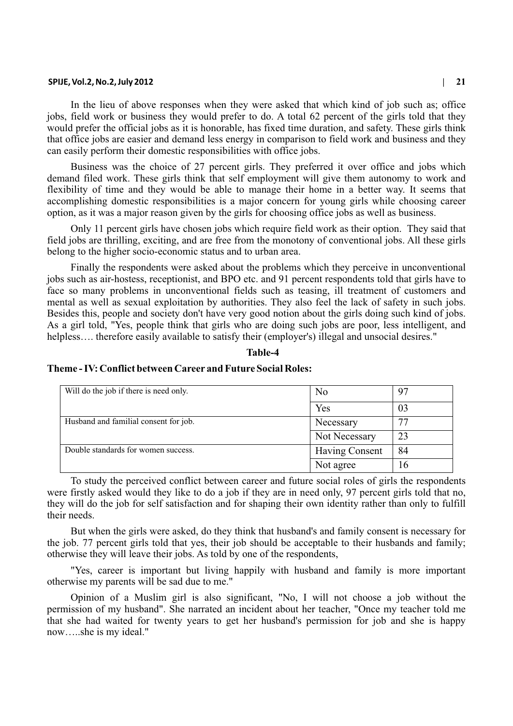In the lieu of above responses when they were asked that which kind of job such as; office jobs, field work or business they would prefer to do. A total 62 percent of the girls told that they would prefer the official jobs as it is honorable, has fixed time duration, and safety. These girls think that office jobs are easier and demand less energy in comparison to field work and business and they can easily perform their domestic responsibilities with office jobs.

Business was the choice of 27 percent girls. They preferred it over office and jobs which demand filed work. These girls think that self employment will give them autonomy to work and flexibility of time and they would be able to manage their home in a better way. It seems that accomplishing domestic responsibilities is a major concern for young girls while choosing career option, as it was a major reason given by the girls for choosing office jobs as well as business.

Only 11 percent girls have chosen jobs which require field work as their option. They said that field jobs are thrilling, exciting, and are free from the monotony of conventional jobs. All these girls belong to the higher socio-economic status and to urban area.

Finally the respondents were asked about the problems which they perceive in unconventional jobs such as air-hostess, receptionist, and BPO etc. and 91 percent respondents told that girls have to face so many problems in unconventional fields such as teasing, ill treatment of customers and mental as well as sexual exploitation by authorities. They also feel the lack of safety in such jobs. Besides this, people and society don't have very good notion about the girls doing such kind of jobs. As a girl told, "Yes, people think that girls who are doing such jobs are poor, less intelligent, and helpless.... therefore easily available to satisfy their (employer's) illegal and unsocial desires."

#### **Table-4**

#### **Theme - IV: Conflict between Career and Future Social Roles:**

| Will do the job if there is need only. | No             | 97 |
|----------------------------------------|----------------|----|
|                                        |                |    |
|                                        | Yes            | 03 |
| Husband and familial consent for job.  | Necessary      |    |
|                                        | Not Necessary  | 23 |
| Double standards for women success.    | Having Consent | 84 |
|                                        | Not agree      | 16 |

To study the perceived conflict between career and future social roles of girls the respondents were firstly asked would they like to do a job if they are in need only, 97 percent girls told that no, they will do the job for self satisfaction and for shaping their own identity rather than only to fulfill their needs.

But when the girls were asked, do they think that husband's and family consent is necessary for the job. 77 percent girls told that yes, their job should be acceptable to their husbands and family; otherwise they will leave their jobs. As told by one of the respondents,

"Yes, career is important but living happily with husband and family is more important otherwise my parents will be sad due to me."

Opinion of a Muslim girl is also significant, "No, I will not choose a job without the permission of my husband". She narrated an incident about her teacher, "Once my teacher told me that she had waited for twenty years to get her husband's permission for job and she is happy now…..she is my ideal."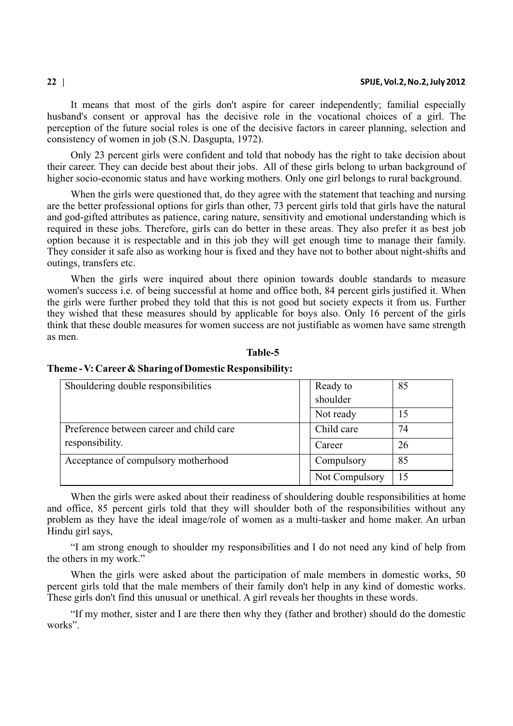It means that most of the girls don't aspire for career independently; familial especially husband's consent or approval has the decisive role in the vocational choices of a girl. The perception of the future social roles is one of the decisive factors in career planning, selection and consistency of women in job (S.N. Dasgupta, 1972).

Only 23 percent girls were confident and told that nobody has the right to take decision about their career. They can decide best about their jobs. All of these girls belong to urban background of higher socio-economic status and have working mothers. Only one girl belongs to rural background.

When the girls were questioned that, do they agree with the statement that teaching and nursing are the better professional options for girls than other, 73 percent girls told that girls have the natural and god-gifted attributes as patience, caring nature, sensitivity and emotional understanding which is required in these jobs. Therefore, girls can do better in these areas. They also prefer it as best job option because it is respectable and in this job they will get enough time to manage their family. They consider it safe also as working hour is fixed and they have not to bother about night-shifts and outings, transfers etc.

When the girls were inquired about there opinion towards double standards to measure women's success i.e. of being successful at home and office both, 84 percent girls justified it. When the girls were further probed they told that this is not good but society expects it from us. Further they wished that these measures should by applicable for boys also. Only 16 percent of the girls think that these double measures for women success are not justifiable as women have same strength as men.

### **Table-5**

| Shouldering double responsibilities      | Ready to       | 85 |
|------------------------------------------|----------------|----|
|                                          | shoulder       |    |
|                                          | Not ready      | 15 |
| Preference between career and child care | Child care     | 74 |
| responsibility.                          | Career         | 26 |
| Acceptance of compulsory motherhood      | Compulsory     | 85 |
|                                          | Not Compulsory | 15 |

## **Theme - V: Career& Sharing of Domestic Responsibility:**

When the girls were asked about their readiness of shouldering double responsibilities at home and office, 85 percent girls told that they will shoulder both of the responsibilities without any problem as they have the ideal image/role of women as a multi-tasker and home maker. An urban Hindu girl says,

"I am strong enough to shoulder my responsibilities and I do not need any kind of help from the others in my work."

When the girls were asked about the participation of male members in domestic works, 50 percent girls told that the male members of their family don't help in any kind of domestic works. These girls don't find this unusual or unethical. A girl reveals her thoughts in these words.

"If my mother, sister and I are there then why they (father and brother) should do the domestic works".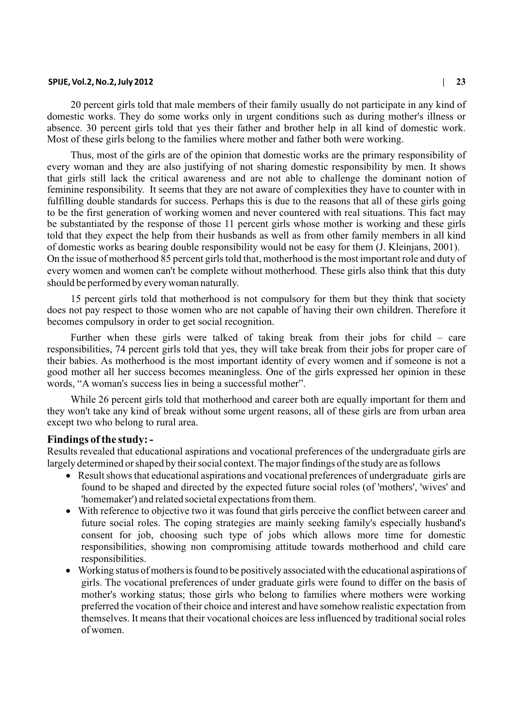20 percent girls told that male members of their family usually do not participate in any kind of domestic works. They do some works only in urgent conditions such as during mother's illness or absence. 30 percent girls told that yes their father and brother help in all kind of domestic work. Most of these girls belong to the families where mother and father both were working.

Thus, most of the girls are of the opinion that domestic works are the primary responsibility of every woman and they are also justifying of not sharing domestic responsibility by men. It shows that girls still lack the critical awareness and are not able to challenge the dominant notion of feminine responsibility. It seems that they are not aware of complexities they have to counter with in fulfilling double standards for success. Perhaps this is due to the reasons that all of these girls going to be the first generation of working women and never countered with real situations. This fact may be substantiated by the response of those 11 percent girls whose mother is working and these girls told that they expect the help from their husbands as well as from other family members in all kind of domestic works as bearing double responsibility would not be easy for them (J. Kleinjans, 2001). On the issue of motherhood 85 percent girls told that, motherhood is the most important role and duty of every women and women can't be complete without motherhood. These girls also think that this duty should be performed by every woman naturally.

15 percent girls told that motherhood is not compulsory for them but they think that society does not pay respect to those women who are not capable of having their own children. Therefore it becomes compulsory in order to get social recognition.

Further when these girls were talked of taking break from their jobs for child – care responsibilities, 74 percent girls told that yes, they will take break from their jobs for proper care of their babies. As motherhood is the most important identity of every women and if someone is not a good mother all her success becomes meaningless. One of the girls expressed her opinion in these words, "A woman's success lies in being a successful mother".

While 26 percent girls told that motherhood and career both are equally important for them and they won't take any kind of break without some urgent reasons, all of these girls are from urban area except two who belong to rural area.

### **Findings of the study: -**

Results revealed that educational aspirations and vocational preferences of the undergraduate girls are largely determined or shaped by their social context. The major findings of the study are as follows

Result shows that educational aspirations and vocational preferences of undergraduate girls are found to be shaped and directed by the expected future social roles (of 'mothers', 'wives' and 'homemaker') and related societal expectations from them.

With reference to objective two it was found that girls perceive the conflict between career and future social roles. The coping strategies are mainly seeking family's especially husband's consent for job, choosing such type of jobs which allows more time for domestic responsibilities, showing non compromising attitude towards motherhood and child care responsibilities.

Working status of mothers is found to be positively associated with the educational aspirations of girls. The vocational preferences of under graduate girls were found to differ on the basis of mother's working status; those girls who belong to families where mothers were working preferred the vocation of their choice and interest and have somehow realistic expectation from themselves. It means that their vocational choices are less influenced by traditional social roles of women.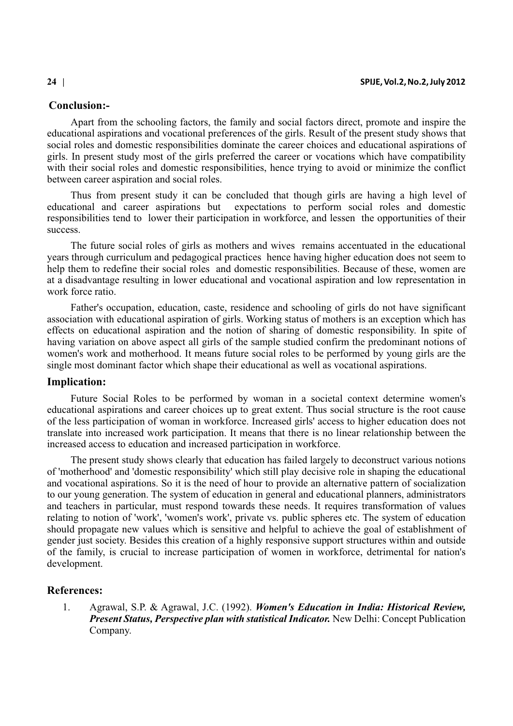# **Conclusion:-**

Apart from the schooling factors, the family and social factors direct, promote and inspire the educational aspirations and vocational preferences of the girls. Result of the present study shows that social roles and domestic responsibilities dominate the career choices and educational aspirations of girls. In present study most of the girls preferred the career or vocations which have compatibility with their social roles and domestic responsibilities, hence trying to avoid or minimize the conflict between career aspiration and social roles.

Thus from present study it can be concluded that though girls are having a high level of educational and career aspirations but expectations to perform social roles and domestic responsibilities tend to lower their participation in workforce, and lessen the opportunities of their success.

The future social roles of girls as mothers and wives remains accentuated in the educational years through curriculum and pedagogical practices hence having higher education does not seem to help them to redefine their social roles and domestic responsibilities. Because of these, women are at a disadvantage resulting in lower educational and vocational aspiration and low representation in work force ratio.

Father's occupation, education, caste, residence and schooling of girls do not have significant association with educational aspiration of girls. Working status of mothers is an exception which has effects on educational aspiration and the notion of sharing of domestic responsibility. In spite of having variation on above aspect all girls of the sample studied confirm the predominant notions of women's work and motherhood. It means future social roles to be performed by young girls are the single most dominant factor which shape their educational as well as vocational aspirations.

# **Implication:**

Future Social Roles to be performed by woman in a societal context determine women's educational aspirations and career choices up to great extent. Thus social structure is the root cause of the less participation of woman in workforce. Increased girls' access to higher education does not translate into increased work participation. It means that there is no linear relationship between the increased access to education and increased participation in workforce.

The present study shows clearly that education has failed largely to deconstruct various notions of 'motherhood' and 'domestic responsibility' which still play decisive role in shaping the educational and vocational aspirations. So it is the need of hour to provide an alternative pattern of socialization to our young generation. The system of education in general and educational planners, administrators and teachers in particular, must respond towards these needs. It requires transformation of values relating to notion of 'work', 'women's work', private vs. public spheres etc. The system of education should propagate new values which is sensitive and helpful to achieve the goal of establishment of gender just society. Besides this creation of a highly responsive support structures within and outside of the family, is crucial to increase participation of women in workforce, detrimental for nation's development.

## **References:**

1. Agrawal, S.P. & Agrawal, J.C. (1992). *Women's Education in India: Historical Review, Present Status, Perspective plan with statistical Indicator.* New Delhi: Concept Publication Company.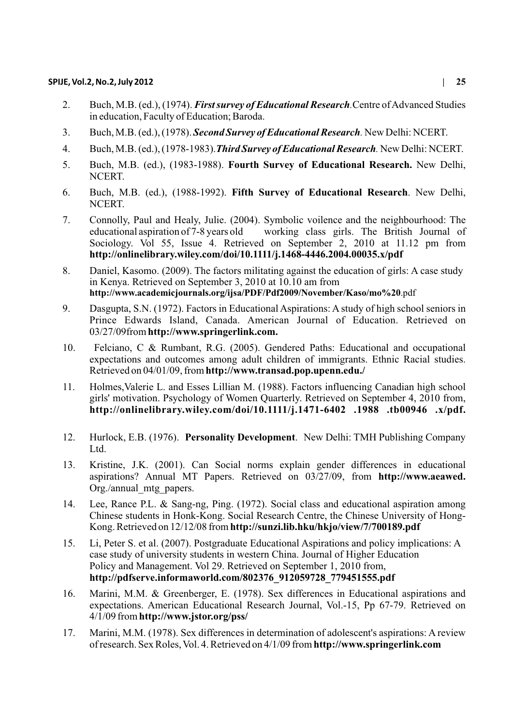- 2. Buch, M.B. (ed.), (1974). *First survey of Educational Research.*Centre of Advanced Studies in education, Faculty of Education; Baroda.
- 3. Buch, M.B. (ed.), (1978). *Second Survey of Educational Research.* New Delhi: NCERT.
- 4. Buch, M.B. (ed.), (1978-1983).*Third Survey of Educational Research.* New Delhi: NCERT.
- 5. Buch, M.B. (ed.), (1983-1988). **Fourth Survey of Educational Research.** New Delhi, NCERT.
- 6. Buch, M.B. (ed.), (1988-1992). **Fifth Survey of Educational Research**. New Delhi, NCERT.
- 7. Connolly, Paul and Healy, Julie. (2004). Symbolic voilence and the neighbourhood: The working class girls. The British Journal of Sociology. Vol 55, Issue 4. Retrieved on September 2, 2010 at 11.12 pm from **http://onlinelibrary.wiley.com/doi/10.1111/j.1468-4446.2004.00035.x/pdf**
- 8. Daniel, Kasomo. (2009). The factors militating against the education of girls: A case study in Kenya. Retrieved on September 3, 2010 at 10.10 am from **http://www.academicjournals.org/ijsa/PDF/Pdf2009/November/Kaso/mo%20**.pdf
- 9. Dasgupta, S.N. (1972). Factors in Educational Aspirations: A study of high school seniors in Prince Edwards Island, Canada. American Journal of Education. Retrieved on 03/27/09from **http://www.springerlink.com.**
- 10. Felciano, C & Rumbant, R.G. (2005). Gendered Paths: Educational and occupational expectations and outcomes among adult children of immigrants. Ethnic Racial studies. Retrieved on 04/01/09, from **http://www.transad.pop.upenn.edu./**
- 11. Holmes,Valerie L. and Esses Lillian M. (1988). Factors influencing Canadian high school girls' motivation. Psychology of Women Quarterly. Retrieved on September 4, 2010 from, **http://onlinelibrary.wiley.com/doi/10.1111/j.1471-6402 .1988 .tb00946 .x/pdf.**
- 12. Hurlock, E.B. (1976). **Personality Development**. New Delhi: TMH Publishing Company Ltd.
- 13. Kristine, J.K. (2001). Can Social norms explain gender differences in educational aspirations? Annual MT Papers. Retrieved on 03/27/09, from **http://www.aeawed.** Org./annual\_mtg\_papers.
- 14. Lee, Rance P.L. & Sang-ng, Ping. (1972). Social class and educational aspiration among Chinese students in Honk-Kong. Social Research Centre, the Chinese University of Hong-Kong. Retrieved on 12/12/08 from **http://sunzi.lib.hku/hkjo/view/7/700189.pdf**
- 15. Li, Peter S. et al. (2007). Postgraduate Educational Aspirations and policy implications: A case study of university students in western China. Journal of Higher Education Policy and Management. Vol 29. Retrieved on September 1, 2010 from, **http://pdfserve.informaworld.com/802376\_912059728\_779451555.pdf**
- 16. Marini, M.M. & Greenberger, E. (1978). Sex differences in Educational aspirations and expectations. American Educational Research Journal, Vol.-15, Pp 67-79. Retrieved on 4/1/09 from **http://www.jstor.org/pss/**
- 17. Marini, M.M. (1978). Sex differences in determination of adolescent's aspirations: A review of research. Sex Roles, Vol. 4. Retrieved on 4/1/09 from **http://www.springerlink.com**